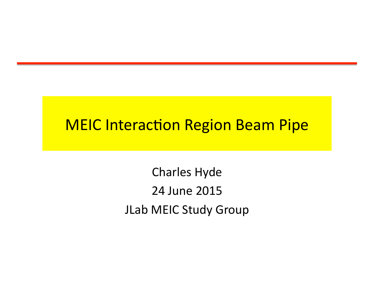### **MEIC Interaction Region Beam Pipe**

Charles Hyde 24 June 2015 JLab MEIC Study Group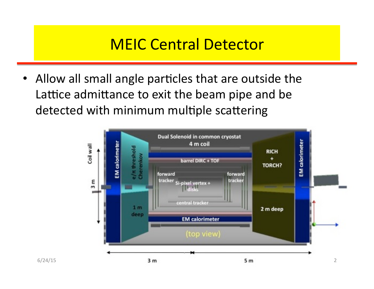### **MEIC Central Detector**

• Allow all small angle particles that are outside the Lattice admittance to exit the beam pipe and be detected with minimum multiple scattering

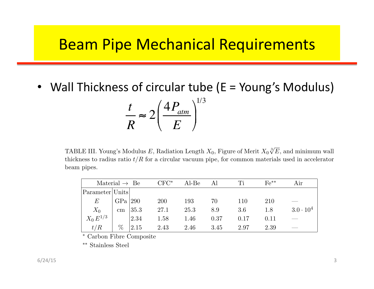### **Beam Pipe Mechanical Requirements**

Wall Thickness of circular tube ( $E =$  Young's Modulus) *t R*  $\approx 2 \left( \frac{4 P_{atm}}{F} \right)$ *E*  $\sqrt{2}$  $\setminus$  $\left(\frac{4 P_{atm}}{E}\right)$  $\int$ ' 1/3 *B Multiple Scattering Figure of Merit* 4

TABLE III. Young's Modulus *E*, Radiation Length  $X_0$ , Figure of Merit  $X_0 \sqrt[3]{E}$ , and minimum wall thickness to radius ratio  $t/R$  for a circular vacuum pipe, for common materials used in accelerator beam pipes.

| Material $\rightarrow$ Be                  |                 |      | $CFC^*$ | Al-Be | Al   | Ti   | $Fe***$ | Air                |
|--------------------------------------------|-----------------|------|---------|-------|------|------|---------|--------------------|
| $\lvert$ Parameter $\lvert$ Units $\lvert$ |                 |      |         |       |      |      |         |                    |
| $\,E$                                      | $GPa$ $ 290$    |      | 200     | 193   | 70   | 110  | 210     |                    |
| $X_{0}$                                    | $\,\mathrm{cm}$ | 35.3 | 27.1    | 25.3  | 8.9  | 3.6  | 1.8     | $3.0 \cdot 10^{4}$ |
| $X_0 E^{1/3}$                              |                 | 2.34 | 1.58    | 1.46  | 0.37 | 0.17 | 0.11    |                    |
| t/R                                        | $\%$            | 2.15 | 2.43    | 2.46  | 3.45 | 2.97 | 2.39    |                    |

∗ Carbon Fibre Composite

∗∗ Stainless Steel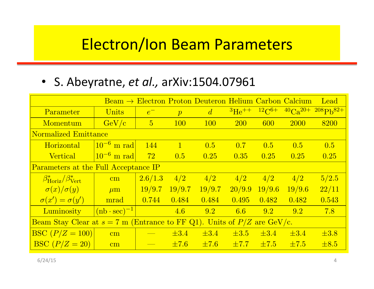#### **Electron/Ion Beam Parameters circular electron region de la parameters** ion beam bunch lengths are 1.0 cm. The independent of Z, and the independent of Z, and Z, and Z, and Z, and Z,

consequently the number of particles per bunch scales per bunch scales as 1/Z. For e−P b collisions the β-functions the β-functions the β-functions the β-functions the β-functions the β-functions the β-functions the β-fun

#### • S. Abeyratne, et al., arXiv:1504.07961

|                                                                             |                                      |                |                  | $Bean \rightarrow Electron$ Proton Deuteron Helium Carbon Calcium |                    |            |             | Lead                       |  |  |  |
|-----------------------------------------------------------------------------|--------------------------------------|----------------|------------------|-------------------------------------------------------------------|--------------------|------------|-------------|----------------------------|--|--|--|
| Parameter                                                                   | Units                                | $e^-$          | $\boldsymbol{p}$ | $\overline{d}$                                                    | $\rm{^{3}He^{++}}$ | $12C^{6+}$ |             | $^{40}Ca^{20+208}Ph^{82+}$ |  |  |  |
| Momentum                                                                    | GeV/c                                | $\overline{5}$ | <b>100</b>       | <b>100</b>                                                        | <b>200</b>         | 600        | <b>2000</b> | 8200                       |  |  |  |
| Normalized Emittance                                                        |                                      |                |                  |                                                                   |                    |            |             |                            |  |  |  |
| Horizontal                                                                  | $\left 10^{-6} \right  \text{m rad}$ | 144            | $\mathbf{1}$     | 0.5                                                               | 0.7                | 0.5        | 0.5         | 0.5                        |  |  |  |
| <b>Vertical</b>                                                             | $10^{-6}$ m rad                      | 72             | 0.5              | 0.25                                                              | 0.35               | 0.25       | 0.25        | 0.25                       |  |  |  |
| Parameters at the Full Acceptance IP                                        |                                      |                |                  |                                                                   |                    |            |             |                            |  |  |  |
| $\beta_{\text{Horiz}}^*/\beta_{\text{Vert}}^*$                              | $\rm cm$                             | 2.6/1.3        | 4/2              | 4/2                                                               | $\frac{4}{2}$      | 4/2        | 4/2         | 5/2.5                      |  |  |  |
| $ \sigma(x)/\sigma(y) $                                                     | $\mu$ m                              | 19/9.7         | 19/9.7           | 19/9.7                                                            | 20/9.9             | 19/9.6     | 19/9.6      | 22/11                      |  |  |  |
| $\sigma(x') = \sigma(y')$                                                   | mrad                                 | 0.744          | 0.484            | 0.484                                                             | 0.495              | 0.482      | 0.482       | 0.543                      |  |  |  |
| Luminosity                                                                  | $(\text{nb} \cdot \text{sec})^{-1}$  |                | 4.6              | 9.2                                                               | 6.6                | 9.2        | 9.2         | 7.8                        |  |  |  |
| Beam Stay Clear at $s = 7$ m (Entrance to FF Q1). Units of $P/Z$ are GeV/c. |                                      |                |                  |                                                                   |                    |            |             |                            |  |  |  |
| $ {\rm BSC}\,(P/Z = 100) $                                                  | $\overline{\text{cm}}$               |                | $\pm 3.4$        | $\pm 3.4$                                                         | $\pm 3.5$          | $\pm 3.4$  | $\pm 3.4$   | $\pm 3.8$                  |  |  |  |
| BSC $(P/Z = 20)$                                                            | $\rm cm$                             |                | $\pm 7.6$        | $\pm 7.6$                                                         | $\pm 7.7$          | $\pm 7.5$  | $\pm 7.5$   | $\pm 8.5$                  |  |  |  |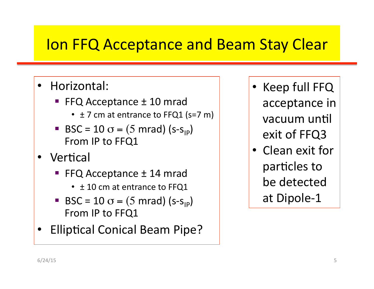## Ion FFQ Acceptance and Beam Stay Clear

#### • Horizontal:

- FFQ Acceptance  $\pm$  10 mrad
	- $\pm$  7 cm at entrance to FFQ1 (s=7 m)
- **BSC** = 10  $\sigma$  = (5 mrad) (s-s<sub>IP</sub>) From IP to FFQ1
- **Vertical** 
	- FFQ Acceptance  $\pm$  14 mrad
		- $\cdot$   $\pm$  10 cm at entrance to FFQ1
	- BSC = 10  $\sigma$  = (5 mrad) (s-s<sub>IP</sub>) From IP to FFQ1
- **Elliptical Conical Beam Pipe?**
- $\bullet$  Keep full FFQ acceptance in vacuum until exit of FFQ3
- Clean exit for particles to be detected at Dipole-1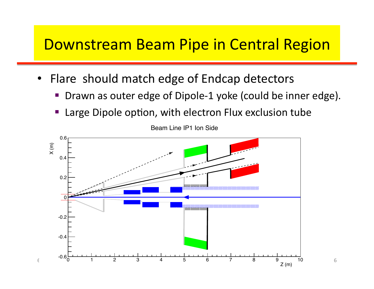### Downstream Beam Pipe in Central Region

- Flare should match edge of Endcap detectors
	- Drawn as outer edge of Dipole-1 yoke (could be inner edge).
	- Large Dipole option, with electron Flux exclusion tube



Beam Line IP1 Ion Side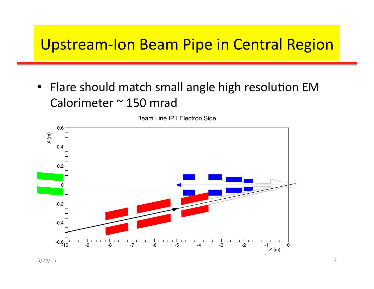### Upstream-Ion Beam Pipe in Central Region

• Flare should match small angle high resolution EM Calorimeter  $\sim$  150 mrad

Beam Line IP1 Electron Side



 $6/24/15$  7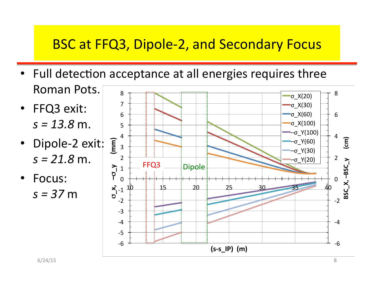### **BSC at FFQ3, Dipole-2, and Secondary Focus**

- Full detection acceptance at all energies requires three Roman Pots.
- FFQ3 exit:  $s = 13.8$  m.
- Dipole-2 exit:  $s = 21.8$  m.
- Focus:  $s = 37$  m

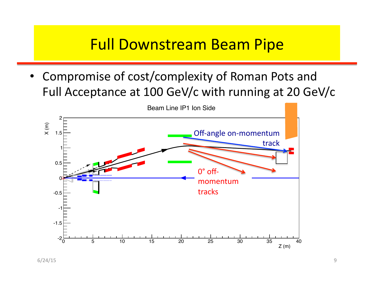## **Full Downstream Beam Pipe**

• Compromise of cost/complexity of Roman Pots and Full Acceptance at 100 GeV/c with running at 20 GeV/c